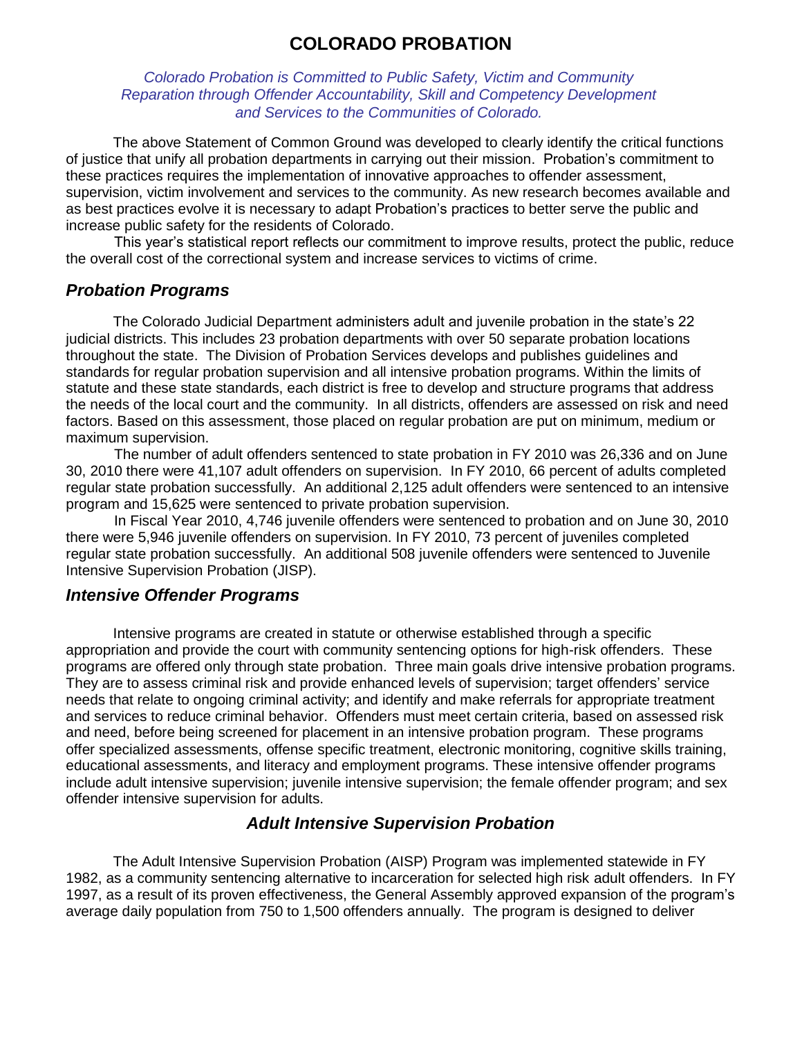# **COLORADO PROBATION**

*Colorado Probation is Committed to Public Safety, Victim and Community Reparation through Offender Accountability, Skill and Competency Development and Services to the Communities of Colorado.*

The above Statement of Common Ground was developed to clearly identify the critical functions of justice that unify all probation departments in carrying out their mission. Probation's commitment to these practices requires the implementation of innovative approaches to offender assessment, supervision, victim involvement and services to the community. As new research becomes available and as best practices evolve it is necessary to adapt Probation's practices to better serve the public and increase public safety for the residents of Colorado.

 This year's statistical report reflects our commitment to improve results, protect the public, reduce the overall cost of the correctional system and increase services to victims of crime.

#### *Probation Programs*

The Colorado Judicial Department administers adult and juvenile probation in the state's 22 judicial districts. This includes 23 probation departments with over 50 separate probation locations throughout the state. The Division of Probation Services develops and publishes guidelines and standards for regular probation supervision and all intensive probation programs. Within the limits of statute and these state standards, each district is free to develop and structure programs that address the needs of the local court and the community. In all districts, offenders are assessed on risk and need factors. Based on this assessment, those placed on regular probation are put on minimum, medium or maximum supervision.

 The number of adult offenders sentenced to state probation in FY 2010 was 26,336 and on June 30, 2010 there were 41,107 adult offenders on supervision. In FY 2010, 66 percent of adults completed regular state probation successfully. An additional 2,125 adult offenders were sentenced to an intensive program and 15,625 were sentenced to private probation supervision.

 In Fiscal Year 2010, 4,746 juvenile offenders were sentenced to probation and on June 30, 2010 there were 5,946 juvenile offenders on supervision. In FY 2010, 73 percent of juveniles completed regular state probation successfully. An additional 508 juvenile offenders were sentenced to Juvenile Intensive Supervision Probation (JISP).

#### *Intensive Offender Programs*

Intensive programs are created in statute or otherwise established through a specific appropriation and provide the court with community sentencing options for high-risk offenders. These programs are offered only through state probation. Three main goals drive intensive probation programs. They are to assess criminal risk and provide enhanced levels of supervision; target offenders' service needs that relate to ongoing criminal activity; and identify and make referrals for appropriate treatment and services to reduce criminal behavior. Offenders must meet certain criteria, based on assessed risk and need, before being screened for placement in an intensive probation program. These programs offer specialized assessments, offense specific treatment, electronic monitoring, cognitive skills training, educational assessments, and literacy and employment programs. These intensive offender programs include adult intensive supervision; juvenile intensive supervision; the female offender program; and sex offender intensive supervision for adults.

### *Adult Intensive Supervision Probation*

The Adult Intensive Supervision Probation (AISP) Program was implemented statewide in FY 1982, as a community sentencing alternative to incarceration for selected high risk adult offenders. In FY 1997, as a result of its proven effectiveness, the General Assembly approved expansion of the program's average daily population from 750 to 1,500 offenders annually. The program is designed to deliver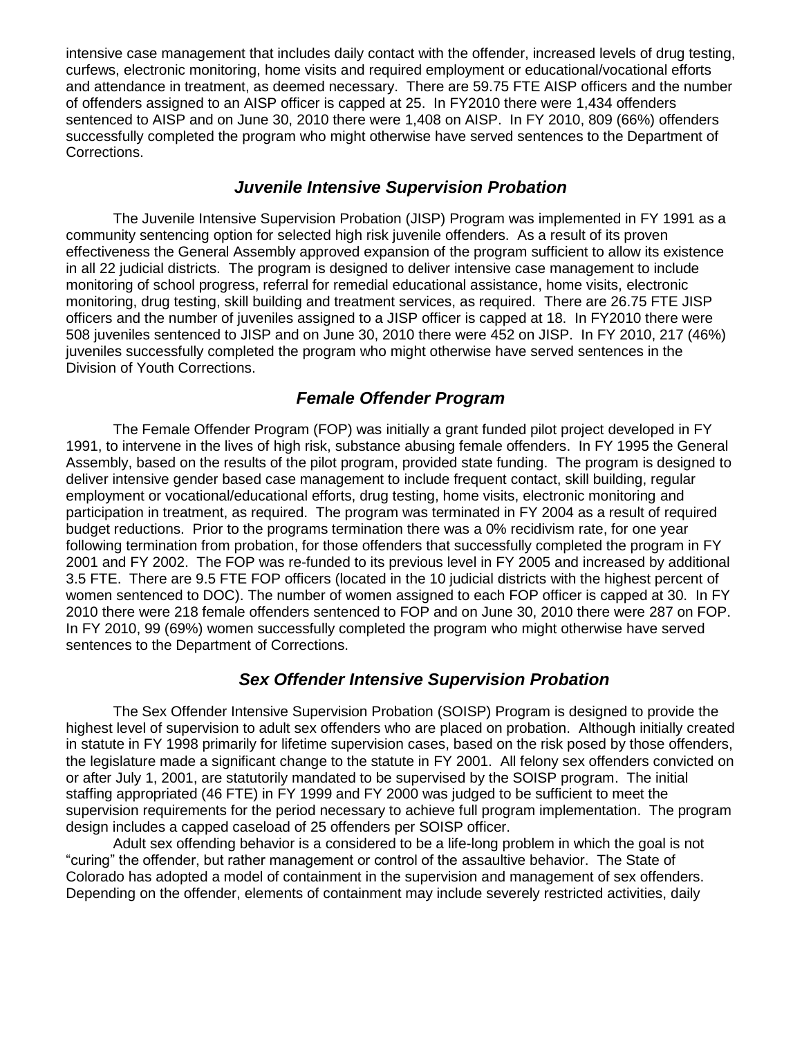intensive case management that includes daily contact with the offender, increased levels of drug testing, curfews, electronic monitoring, home visits and required employment or educational/vocational efforts and attendance in treatment, as deemed necessary. There are 59.75 FTE AISP officers and the number of offenders assigned to an AISP officer is capped at 25. In FY2010 there were 1,434 offenders sentenced to AISP and on June 30, 2010 there were 1,408 on AISP. In FY 2010, 809 (66%) offenders successfully completed the program who might otherwise have served sentences to the Department of Corrections.

### *Juvenile Intensive Supervision Probation*

The Juvenile Intensive Supervision Probation (JISP) Program was implemented in FY 1991 as a community sentencing option for selected high risk juvenile offenders. As a result of its proven effectiveness the General Assembly approved expansion of the program sufficient to allow its existence in all 22 judicial districts. The program is designed to deliver intensive case management to include monitoring of school progress, referral for remedial educational assistance, home visits, electronic monitoring, drug testing, skill building and treatment services, as required. There are 26.75 FTE JISP officers and the number of juveniles assigned to a JISP officer is capped at 18. In FY2010 there were 508 juveniles sentenced to JISP and on June 30, 2010 there were 452 on JISP. In FY 2010, 217 (46%) juveniles successfully completed the program who might otherwise have served sentences in the Division of Youth Corrections.

# *Female Offender Program*

The Female Offender Program (FOP) was initially a grant funded pilot project developed in FY 1991, to intervene in the lives of high risk, substance abusing female offenders. In FY 1995 the General Assembly, based on the results of the pilot program, provided state funding. The program is designed to deliver intensive gender based case management to include frequent contact, skill building, regular employment or vocational/educational efforts, drug testing, home visits, electronic monitoring and participation in treatment, as required. The program was terminated in FY 2004 as a result of required budget reductions. Prior to the programs termination there was a 0% recidivism rate, for one year following termination from probation, for those offenders that successfully completed the program in FY 2001 and FY 2002. The FOP was re-funded to its previous level in FY 2005 and increased by additional 3.5 FTE. There are 9.5 FTE FOP officers (located in the 10 judicial districts with the highest percent of women sentenced to DOC). The number of women assigned to each FOP officer is capped at 30. In FY 2010 there were 218 female offenders sentenced to FOP and on June 30, 2010 there were 287 on FOP. In FY 2010, 99 (69%) women successfully completed the program who might otherwise have served sentences to the Department of Corrections.

# *Sex Offender Intensive Supervision Probation*

The Sex Offender Intensive Supervision Probation (SOISP) Program is designed to provide the highest level of supervision to adult sex offenders who are placed on probation. Although initially created in statute in FY 1998 primarily for lifetime supervision cases, based on the risk posed by those offenders, the legislature made a significant change to the statute in FY 2001. All felony sex offenders convicted on or after July 1, 2001, are statutorily mandated to be supervised by the SOISP program. The initial staffing appropriated (46 FTE) in FY 1999 and FY 2000 was judged to be sufficient to meet the supervision requirements for the period necessary to achieve full program implementation. The program design includes a capped caseload of 25 offenders per SOISP officer.

Adult sex offending behavior is a considered to be a life-long problem in which the goal is not "curing" the offender, but rather management or control of the assaultive behavior. The State of Colorado has adopted a model of containment in the supervision and management of sex offenders. Depending on the offender, elements of containment may include severely restricted activities, daily